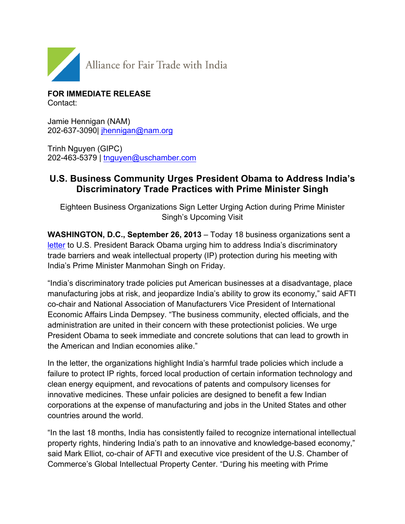

**FOR IMMEDIATE RELEASE** Contact:

Jamie Hennigan (NAM) 202-637-3090| jhennigan@nam.org

Trinh Nguyen (GIPC) 202-463-5379 | tnguyen@uschamber.com

## **U.S. Business Community Urges President Obama to Address India's Discriminatory Trade Practices with Prime Minister Singh**

Eighteen Business Organizations Sign Letter Urging Action during Prime Minister Singh's Upcoming Visit

**WASHINGTON, D.C., September 26, 2013** – Today 18 business organizations sent a letter to U.S. President Barack Obama urging him to address India's discriminatory trade barriers and weak intellectual property (IP) protection during his meeting with India's Prime Minister Manmohan Singh on Friday.

"India's discriminatory trade policies put American businesses at a disadvantage, place manufacturing jobs at risk, and jeopardize India's ability to grow its economy," said AFTI co-chair and National Association of Manufacturers Vice President of International Economic Affairs Linda Dempsey. "The business community, elected officials, and the administration are united in their concern with these protectionist policies. We urge President Obama to seek immediate and concrete solutions that can lead to growth in the American and Indian economies alike."

In the letter, the organizations highlight India's harmful trade policies which include a failure to protect IP rights, forced local production of certain information technology and clean energy equipment, and revocations of patents and compulsory licenses for innovative medicines. These unfair policies are designed to benefit a few Indian corporations at the expense of manufacturing and jobs in the United States and other countries around the world.

"In the last 18 months, India has consistently failed to recognize international intellectual property rights, hindering India's path to an innovative and knowledge-based economy," said Mark Elliot, co-chair of AFTI and executive vice president of the U.S. Chamber of Commerce's Global Intellectual Property Center. "During his meeting with Prime